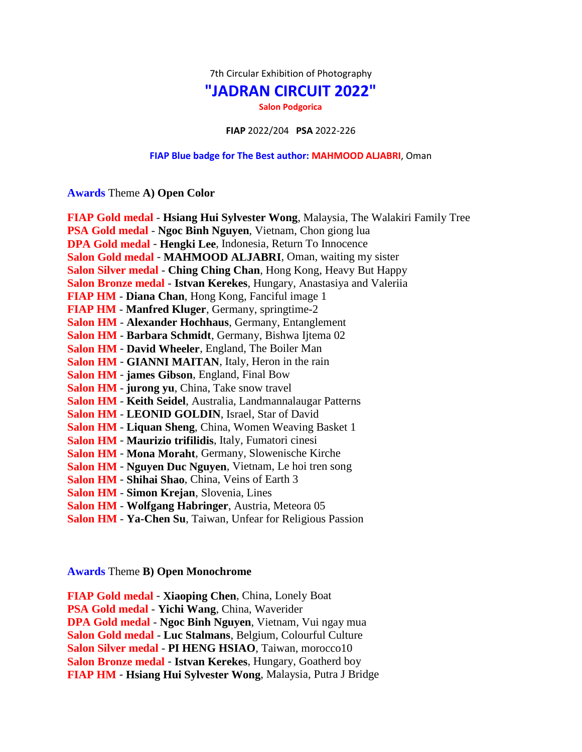7th Circular Exhibition of Photography

## **"JADRAN CIRCUIT 2022"**

**Salon Podgorica**

**FIAP** 2022/204 **PSA** 2022-226

## **FIAP Blue badge for The Best author: MAHMOOD ALJABRI**, Oman

**Awards** Theme **A) Open Color**

| FIAP Gold medal - Hsiang Hui Sylvester Wong, Malaysia, The Walakiri Family Tree |
|---------------------------------------------------------------------------------|
| PSA Gold medal - Ngoc Binh Nguyen, Vietnam, Chon giong lua                      |
| DPA Gold medal - Hengki Lee, Indonesia, Return To Innocence                     |
| Salon Gold medal - MAHMOOD ALJABRI, Oman, waiting my sister                     |
| Salon Silver medal - Ching Ching Chan, Hong Kong, Heavy But Happy               |
| Salon Bronze medal - Istvan Kerekes, Hungary, Anastasiya and Valeriia           |
| FIAP HM - Diana Chan, Hong Kong, Fanciful image 1                               |
| <b>FIAP HM</b> - Manfred Kluger, Germany, springtime-2                          |
| Salon HM - Alexander Hochhaus, Germany, Entanglement                            |
| Salon HM - Barbara Schmidt, Germany, Bishwa Ijtema 02                           |
| <b>Salon HM - David Wheeler, England, The Boiler Man</b>                        |
| Salon HM - GIANNI MAITAN, Italy, Heron in the rain                              |
| Salon HM - james Gibson, England, Final Bow                                     |
| Salon HM - jurong yu, China, Take snow travel                                   |
| Salon HM - Keith Seidel, Australia, Landmannalaugar Patterns                    |
| <b>Salon HM - LEONID GOLDIN, Israel, Star of David</b>                          |
| Salon HM - Liquan Sheng, China, Women Weaving Basket 1                          |
| Salon HM - Maurizio trifilidis, Italy, Fumatori cinesi                          |
| Salon HM - Mona Moraht, Germany, Slowenische Kirche                             |
| <b>Salon HM - Nguyen Duc Nguyen, Vietnam, Le hoi tren song</b>                  |
| Salon HM - Shihai Shao, China, Veins of Earth 3                                 |
| <b>Salon HM - Simon Krejan, Slovenia, Lines</b>                                 |
| Salon HM - Wolfgang Habringer, Austria, Meteora 05                              |
| Salon HM - Ya-Chen Su, Taiwan, Unfear for Religious Passion                     |

**Awards** Theme **B) Open Monochrome**

**FIAP Gold medal** - **Xiaoping Chen**, China, Lonely Boat **PSA Gold medal** - **Yichi Wang**, China, Waverider **DPA Gold medal** - **Ngoc Binh Nguyen**, Vietnam, Vui ngay mua **Salon Gold medal** - **Luc Stalmans**, Belgium, Colourful Culture **Salon Silver medal** - **PI HENG HSIAO**, Taiwan, morocco10 **Salon Bronze medal** - **Istvan Kerekes**, Hungary, Goatherd boy **FIAP HM** - **Hsiang Hui Sylvester Wong**, Malaysia, Putra J Bridge